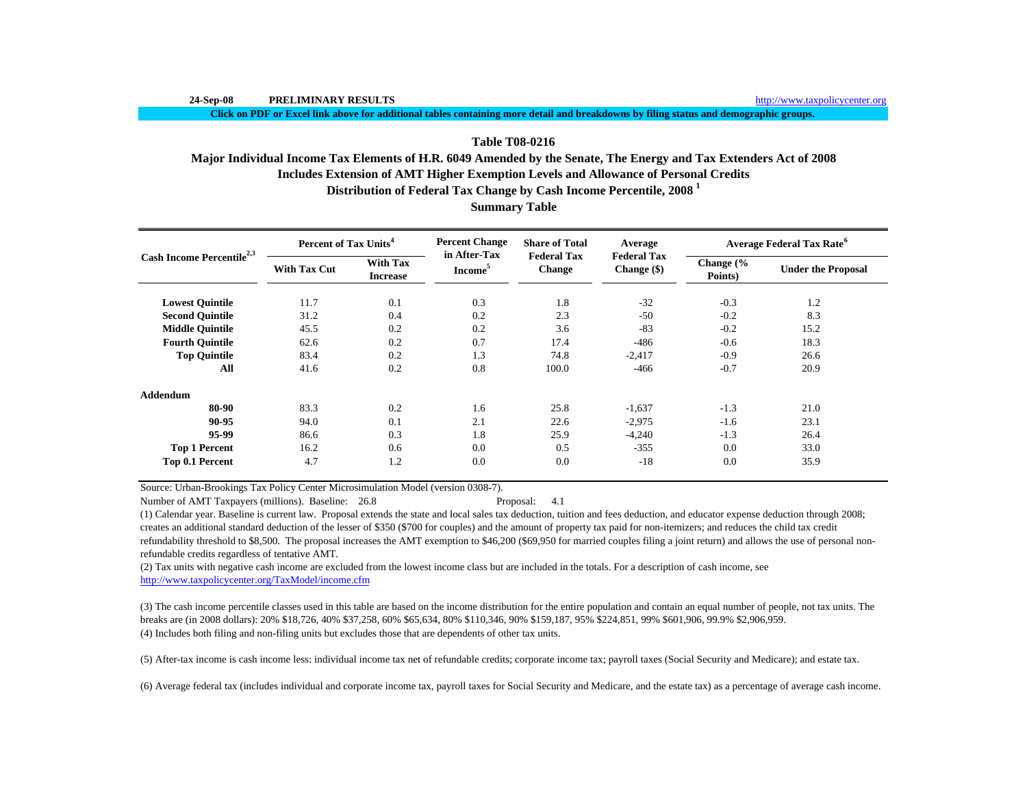**Click on PDF or Excel link above for additional tables containing more detail and breakdowns by filing status and demographic groups.**

## **Table T08-0216**

# **Includes Extension of AMT Higher Exemption Levels and Allowance of Personal Credits Distribution of Federal Tax Change by Cash Income Percentile, 2008 <sup>1</sup> Major Individual Income Tax Elements of H.R. 6049 Amended by the Senate, The Energy and Tax Extenders Act of 2008**

| <b>Summary Table</b> |  |
|----------------------|--|
|----------------------|--|

|                                       | Percent of Tax Units <sup>4</sup> |                                    | <b>Percent Change</b><br>in After-Tax | <b>Share of Total</b><br><b>Federal Tax</b> | Average                           | <b>Average Federal Tax Rate<sup>6</sup></b> |                           |  |
|---------------------------------------|-----------------------------------|------------------------------------|---------------------------------------|---------------------------------------------|-----------------------------------|---------------------------------------------|---------------------------|--|
| Cash Income Percentile <sup>2,3</sup> | <b>With Tax Cut</b>               | <b>With Tax</b><br><b>Increase</b> | Income <sup>5</sup>                   | Change                                      | <b>Federal Tax</b><br>Change (\$) | Change $\frac{6}{6}$<br>Points)             | <b>Under the Proposal</b> |  |
| <b>Lowest Quintile</b>                | 11.7                              | 0.1                                | 0.3                                   | 1.8                                         | $-32$                             | $-0.3$                                      | 1.2                       |  |
| <b>Second Quintile</b>                | 31.2                              | 0.4                                | 0.2                                   | 2.3                                         | $-50$                             | $-0.2$                                      | 8.3                       |  |
| <b>Middle Quintile</b>                | 45.5                              | 0.2                                | 0.2                                   | 3.6                                         | $-83$                             | $-0.2$                                      | 15.2                      |  |
| <b>Fourth Quintile</b>                | 62.6                              | 0.2                                | 0.7                                   | 17.4                                        | $-486$                            | $-0.6$                                      | 18.3                      |  |
| <b>Top Quintile</b>                   | 83.4                              | 0.2                                | 1.3                                   | 74.8                                        | $-2,417$                          | $-0.9$                                      | 26.6                      |  |
| All                                   | 41.6                              | 0.2                                | 0.8                                   | 100.0                                       | $-466$                            | $-0.7$                                      | 20.9                      |  |
| <b>Addendum</b>                       |                                   |                                    |                                       |                                             |                                   |                                             |                           |  |
| 80-90                                 | 83.3                              | 0.2                                | 1.6                                   | 25.8                                        | $-1,637$                          | $-1.3$                                      | 21.0                      |  |
| 90-95                                 | 94.0                              | 0.1                                | 2.1                                   | 22.6                                        | $-2,975$                          | $-1.6$                                      | 23.1                      |  |
| 95-99                                 | 86.6                              | 0.3                                | 1.8                                   | 25.9                                        | $-4,240$                          | $-1.3$                                      | 26.4                      |  |
| <b>Top 1 Percent</b>                  | 16.2                              | 0.6                                | 0.0                                   | 0.5                                         | $-355$                            | 0.0                                         | 33.0                      |  |
| Top 0.1 Percent                       | 4.7                               | 1.2                                | 0.0                                   | 0.0                                         | $-18$                             | 0.0                                         | 35.9                      |  |

Source: Urban-Brookings Tax Policy Center Microsimulation Model (version 0308-7).

Number of AMT Taxpayers (millions). Baseline: 26.8 Proposal: 4.1

(1) Calendar year. Baseline is current law. Proposal extends the state and local sales tax deduction, tuition and fees deduction, and educator expense deduction through 2008; creates an additional standard deduction of the lesser of \$350 (\$700 for couples) and the amount of property tax paid for non-itemizers; and reduces the child tax credit refundability threshold to \$8,500. The proposal increases the AMT exemption to \$46,200 (\$69,950 for married couples filing a joint return) and allows the use of personal nonrefundable credits regardless of tentative AMT.

(2) Tax units with negative cash income are excluded from the lowest income class but are included in the totals. For a description of cash income, see http://www.taxpolicycenter.org/TaxModel/income.cfm

(4) Includes both filing and non-filing units but excludes those that are dependents of other tax units. (3) The cash income percentile classes used in this table are based on the income distribution for the entire population and contain an equal number of people, not tax units. The breaks are (in 2008 dollars): 20% \$18,726, 40% \$37,258, 60% \$65,634, 80% \$110,346, 90% \$159,187, 95% \$224,851, 99% \$601,906, 99.9% \$2,906,959.

(5) After-tax income is cash income less: individual income tax net of refundable credits; corporate income tax; payroll taxes (Social Security and Medicare); and estate tax.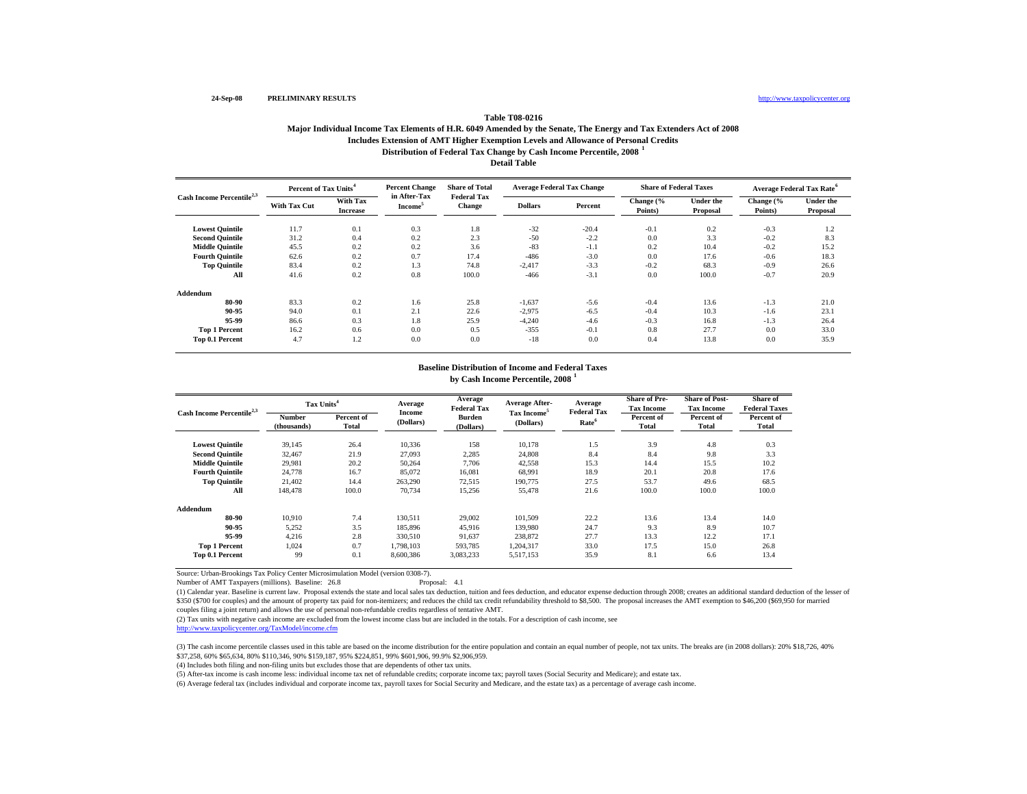# **Table T08-0216**

## **Distribution of Federal Tax Change by Cash Income Percentile, 2008 <sup>1</sup> Major Individual Income Tax Elements of H.R. 6049 Amended by the Senate, The Energy and Tax Extenders Act of 2008 Includes Extension of AMT Higher Exemption Levels and Allowance of Personal Credits**

**Detail Table**

| Cash Income Percentile $^{2,3}$ | Percent of Tax Units <sup>4</sup> |                             | <b>Percent Change</b>               | <b>Share of Total</b><br><b>Federal Tax</b> |                | <b>Average Federal Tax Change</b> | <b>Share of Federal Taxes</b> |                              |                      | Average Federal Tax Rate <sup>6</sup> |
|---------------------------------|-----------------------------------|-----------------------------|-------------------------------------|---------------------------------------------|----------------|-----------------------------------|-------------------------------|------------------------------|----------------------|---------------------------------------|
|                                 | <b>With Tax Cut</b>               | With Tax<br><b>Increase</b> | in After-Tax<br>Income <sup>5</sup> | <b>Change</b>                               | <b>Dollars</b> | Percent                           | Change (%<br>Points)          | <b>Under the</b><br>Proposal | Change (%<br>Points) | <b>Under the</b><br>Proposal          |
| <b>Lowest Quintile</b>          | 11.7                              | 0.1                         | 0.3                                 | 1.8                                         | $-32$          | $-20.4$                           | $-0.1$                        | 0.2                          | $-0.3$               | 1.2                                   |
| <b>Second Quintile</b>          | 31.2                              | 0.4                         | 0.2                                 | 2.3                                         | $-50$          | $-2.2$                            | 0.0                           | 3.3                          | $-0.2$               | 8.3                                   |
| <b>Middle Quintile</b>          | 45.5                              | 0.2                         | 0.2                                 | 3.6                                         | $-83$          | $-1.1$                            | 0.2                           | 10.4                         | $-0.2$               | 15.2                                  |
| <b>Fourth Quintile</b>          | 62.6                              | 0.2                         | 0.7                                 | 17.4                                        | $-486$         | $-3.0$                            | 0.0                           | 17.6                         | $-0.6$               | 18.3                                  |
| <b>Top Quintile</b>             | 83.4                              | 0.2                         | 1.3                                 | 74.8                                        | $-2,417$       | $-3.3$                            | $-0.2$                        | 68.3                         | $-0.9$               | 26.6                                  |
| All                             | 41.6                              | 0.2                         | 0.8                                 | 100.0                                       | $-466$         | $-3.1$                            | 0.0                           | 100.0                        | $-0.7$               | 20.9                                  |
| Addendum                        |                                   |                             |                                     |                                             |                |                                   |                               |                              |                      |                                       |
| 80-90                           | 83.3                              | 0.2                         | 1.6                                 | 25.8                                        | $-1,637$       | $-5.6$                            | $-0.4$                        | 13.6                         | $-1.3$               | 21.0                                  |
| 90-95                           | 94.0                              | 0.1                         | 2.1                                 | 22.6                                        | $-2,975$       | $-6.5$                            | $-0.4$                        | 10.3                         | $-1.6$               | 23.1                                  |
| 95-99                           | 86.6                              | 0.3                         | 1.8                                 | 25.9                                        | $-4,240$       | $-4.6$                            | $-0.3$                        | 16.8                         | $-1.3$               | 26.4                                  |
| <b>Top 1 Percent</b>            | 16.2                              | 0.6                         | 0.0                                 | 0.5                                         | $-355$         | $-0.1$                            | 0.8                           | 27.7                         | 0.0                  | 33.0                                  |
| Top 0.1 Percent                 | 4.7                               | 1.2                         | 0.0                                 | 0.0                                         | $-18$          | 0.0                               | 0.4                           | 13.8                         | 0.0                  | 35.9                                  |

## **by Cash Income Percentile, 2008 <sup>1</sup> Baseline Distribution of Income and Federal Taxes**

| Cash Income Percentile <sup>2,3</sup> | Tax Units <sup>4</sup> |                     | Average             | Average<br><b>Federal Tax</b> | <b>Average After-</b>                | Average<br><b>Federal Tax</b> | <b>Share of Pre-</b><br><b>Tax Income</b> | <b>Share of Post-</b><br><b>Tax Income</b> | Share of<br><b>Federal Taxes</b> |
|---------------------------------------|------------------------|---------------------|---------------------|-------------------------------|--------------------------------------|-------------------------------|-------------------------------------------|--------------------------------------------|----------------------------------|
|                                       | Number<br>(thousands)  | Percent of<br>Total | Income<br>(Dollars) | <b>Burden</b><br>(Dollars)    | Tax Income <sup>5</sup><br>(Dollars) | Rate <sup>6</sup>             | Percent of<br><b>Total</b>                | Percent of<br>Total                        | Percent of<br>Total              |
| <b>Lowest Quintile</b>                | 39,145                 | 26.4                | 10,336              | 158                           | 10,178                               | 1.5                           | 3.9                                       | 4.8                                        | 0.3                              |
| <b>Second Quintile</b>                | 32.467                 | 21.9                | 27,093              | 2,285                         | 24,808                               | 8.4                           | 8.4                                       | 9.8                                        | 3.3                              |
| <b>Middle Quintile</b>                | 29.981                 | 20.2                | 50,264              | 7,706                         | 42,558                               | 15.3                          | 14.4                                      | 15.5                                       | 10.2                             |
| <b>Fourth Quintile</b>                | 24,778                 | 16.7                | 85,072              | 16,081                        | 68,991                               | 18.9                          | 20.1                                      | 20.8                                       | 17.6                             |
| <b>Top Quintile</b>                   | 21.402                 | 14.4                | 263.290             | 72,515                        | 190,775                              | 27.5                          | 53.7                                      | 49.6                                       | 68.5                             |
| All                                   | 148,478                | 100.0               | 70,734              | 15,256                        | 55,478                               | 21.6                          | 100.0                                     | 100.0                                      | 100.0                            |
| Addendum                              |                        |                     |                     |                               |                                      |                               |                                           |                                            |                                  |
| 80-90                                 | 10.910                 | 7.4                 | 130.511             | 29,002                        | 101,509                              | 22.2                          | 13.6                                      | 13.4                                       | 14.0                             |
| 90-95                                 | 5,252                  | 3.5                 | 185,896             | 45,916                        | 139,980                              | 24.7                          | 9.3                                       | 8.9                                        | 10.7                             |
| 95-99                                 | 4,216                  | 2.8                 | 330,510             | 91,637                        | 238,872                              | 27.7                          | 13.3                                      | 12.2                                       | 17.1                             |
| <b>Top 1 Percent</b>                  | 1,024                  | 0.7                 | 1.798.103           | 593,785                       | 1,204,317                            | 33.0                          | 17.5                                      | 15.0                                       | 26.8                             |
| Top 0.1 Percent                       | 99                     | 0.1                 | 8,600,386           | 3,083,233                     | 5,517,153                            | 35.9                          | 8.1                                       | 6.6                                        | 13.4                             |

Source: Urban-Brookings Tax Policy Center Microsimulation Model (version 0308-7).

Number of AMT Taxpayers (millions). Baseline: 26.8 Proposal: 4.1

(1) Calendar year. Baseline is current law. Proposal extends the state and local sales tax deduction, tuition and fees deduction, and educator expense deduction through 2008; creates an additional standard deduction of the \$350 (\$700 for couples) and the amount of property tax paid for non-itemizers; and reduces the child tax credit refundability threshold to \$8,500. The proposal increases the AMT exemption to \$46,200 (\$69,950 for married couples filing a joint return) and allows the use of personal non-refundable credits regardless of tentative AMT.

(2) Tax units with negative cash income are excluded from the lowest income class but are included in the totals. For a description of cash income, see

http://www.taxpolicycenter.org/TaxModel/income.cfm

(3) The cash income percentile classes used in this table are based on the income distribution for the entire population and contain an equal number of people, not tax units. The breaks are (in 2008 dollars): 20% \$18,726, \$37,258, 60% \$65,634, 80% \$110,346, 90% \$159,187, 95% \$224,851, 99% \$601,906, 99.9% \$2,906,959.

(4) Includes both filing and non-filing units but excludes those that are dependents of other tax units.

(5) After-tax income is cash income less: individual income tax net of refundable credits; corporate income tax; payroll taxes (Social Security and Medicare); and estate tax.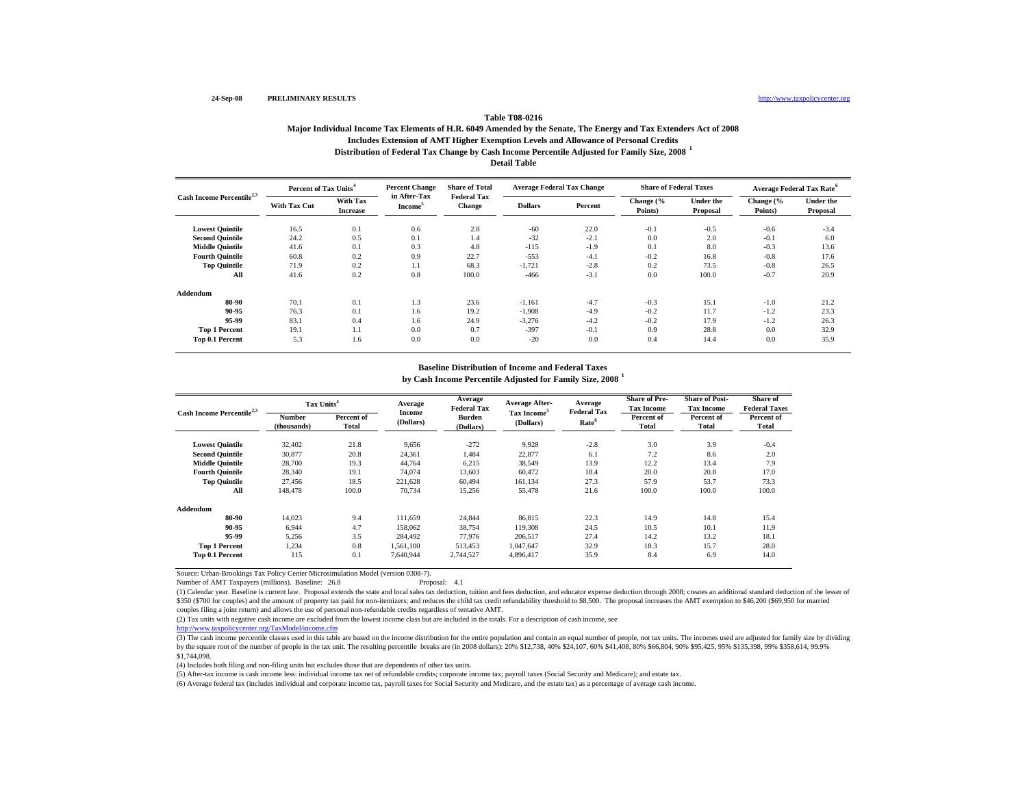# **Table T08-0216**

## **Distribution of Federal Tax Change by Cash Income Percentile Adjusted for Family Size, 2008 <sup>1</sup> Major Individual Income Tax Elements of H.R. 6049 Amended by the Senate, The Energy and Tax Extenders Act of 2008 Includes Extension of AMT Higher Exemption Levels and Allowance of Personal Credits**

**Detail Table**

|                                 | Percent of Tax Units <sup>4</sup> |                             | <b>Percent Change</b>               | <b>Share of Total</b><br><b>Federal Tax</b> |                | <b>Average Federal Tax Change</b> | <b>Share of Federal Taxes</b> |                              |                      | Average Federal Tax Rate <sup>6</sup> |
|---------------------------------|-----------------------------------|-----------------------------|-------------------------------------|---------------------------------------------|----------------|-----------------------------------|-------------------------------|------------------------------|----------------------|---------------------------------------|
| Cash Income Percentile $^{2,3}$ | <b>With Tax Cut</b>               | With Tax<br><b>Increase</b> | in After-Tax<br>Income <sup>5</sup> | <b>Change</b>                               | <b>Dollars</b> | Percent                           | Change (%<br>Points)          | <b>Under the</b><br>Proposal | Change (%<br>Points) | <b>Under the</b><br>Proposal          |
| <b>Lowest Quintile</b>          | 16.5                              | 0.1                         | 0.6                                 | 2.8                                         | $-60$          | 22.0                              | $-0.1$                        | $-0.5$                       | $-0.6$               | $-3.4$                                |
| <b>Second Quintile</b>          | 24.2                              | 0.5                         | 0.1                                 | 1.4                                         | $-32$          | $-2.1$                            | 0.0                           | 2.0                          | $-0.1$               | 6.0                                   |
| <b>Middle Quintile</b>          | 41.6                              | 0.1                         | 0.3                                 | 4.8                                         | $-115$         | $-1.9$                            | 0.1                           | 8.0                          | $-0.3$               | 13.6                                  |
| <b>Fourth Quintile</b>          | 60.8                              | 0.2                         | 0.9                                 | 22.7                                        | $-553$         | $-4.1$                            | $-0.2$                        | 16.8                         | $-0.8$               | 17.6                                  |
| <b>Top Quintile</b>             | 71.9                              | 0.2                         | 1.1                                 | 68.3                                        | $-1,721$       | $-2.8$                            | 0.2                           | 73.5                         | $-0.8$               | 26.5                                  |
| All                             | 41.6                              | 0.2                         | 0.8                                 | 100.0                                       | $-466$         | $-3.1$                            | 0.0                           | 100.0                        | $-0.7$               | 20.9                                  |
| Addendum                        |                                   |                             |                                     |                                             |                |                                   |                               |                              |                      |                                       |
| 80-90                           | 70.1                              | 0.1                         | 1.3                                 | 23.6                                        | $-1,161$       | $-4.7$                            | $-0.3$                        | 15.1                         | $-1.0$               | 21.2                                  |
| 90-95                           | 76.3                              | 0.1                         | 1.6                                 | 19.2                                        | $-1,908$       | $-4.9$                            | $-0.2$                        | 11.7                         | $-1.2$               | 23.3                                  |
| 95-99                           | 83.1                              | 0.4                         | 1.6                                 | 24.9                                        | $-3,276$       | $-4.2$                            | $-0.2$                        | 17.9                         | $-1.2$               | 26.3                                  |
| <b>Top 1 Percent</b>            | 19.1                              | 1.1                         | 0.0                                 | 0.7                                         | $-397$         | $-0.1$                            | 0.9                           | 28.8                         | 0.0                  | 32.9                                  |
| Top 0.1 Percent                 | 5.3                               | 1.6                         | 0.0                                 | 0.0                                         | $-20$          | 0.0                               | 0.4                           | 14.4                         | 0.0                  | 35.9                                  |

### **Baseline Distribution of Income and Federal Taxes**

**by Cash Income Percentile Adjusted for Family Size, 2008 <sup>1</sup>**

| Cash Income Percentile <sup>2,3</sup> | Tax Units <sup>4</sup>       |                     | Average             | Average<br><b>Federal Tax</b> | <b>Average After-</b>                | Average<br><b>Federal Tax</b> | <b>Share of Pre-</b><br><b>Tax Income</b> | <b>Share of Post-</b><br><b>Tax Income</b> | <b>Share of</b><br><b>Federal Taxes</b> |
|---------------------------------------|------------------------------|---------------------|---------------------|-------------------------------|--------------------------------------|-------------------------------|-------------------------------------------|--------------------------------------------|-----------------------------------------|
|                                       | <b>Number</b><br>(thousands) | Percent of<br>Total | Income<br>(Dollars) | <b>Burden</b><br>(Dollars)    | Tax Income <sup>5</sup><br>(Dollars) | Rate <sup>6</sup>             | Percent of<br>Total                       | Percent of<br><b>Total</b>                 | Percent of<br><b>Total</b>              |
| <b>Lowest Quintile</b>                | 32,402                       | 21.8                | 9,656               | $-272$                        | 9,928                                | $-2.8$                        | 3.0                                       | 3.9                                        | $-0.4$                                  |
| <b>Second Ouintile</b>                | 30,877                       | 20.8                | 24,361              | 1.484                         | 22,877                               | 6.1                           | 7.2                                       | 8.6                                        | 2.0                                     |
| <b>Middle Ouintile</b>                | 28,700                       | 19.3                | 44,764              | 6,215                         | 38,549                               | 13.9                          | 12.2                                      | 13.4                                       | 7.9                                     |
| <b>Fourth Ouintile</b>                | 28,340                       | 19.1                | 74,074              | 13,603                        | 60.472                               | 18.4                          | 20.0                                      | 20.8                                       | 17.0                                    |
| <b>Top Quintile</b>                   | 27.456                       | 18.5                | 221.628             | 60,494                        | 161,134                              | 27.3                          | 57.9                                      | 53.7                                       | 73.3                                    |
| All                                   | 148,478                      | 100.0               | 70,734              | 15,256                        | 55,478                               | 21.6                          | 100.0                                     | 100.0                                      | 100.0                                   |
| Addendum                              |                              |                     |                     |                               |                                      |                               |                                           |                                            |                                         |
| 80-90                                 | 14.023                       | 9.4                 | 111.659             | 24,844                        | 86,815                               | 22.3                          | 14.9                                      | 14.8                                       | 15.4                                    |
| 90-95                                 | 6.944                        | 4.7                 | 158,062             | 38,754                        | 119,308                              | 24.5                          | 10.5                                      | 10.1                                       | 11.9                                    |
| 95-99                                 | 5,256                        | 3.5                 | 284.492             | 77,976                        | 206.517                              | 27.4                          | 14.2                                      | 13.2                                       | 18.1                                    |
| <b>Top 1 Percent</b>                  | 1,234                        | 0.8                 | 1,561,100           | 513,453                       | 1.047.647                            | 32.9                          | 18.3                                      | 15.7                                       | 28.0                                    |
| <b>Top 0.1 Percent</b>                | 115                          | 0.1                 | 7.640.944           | 2.744.527                     | 4,896,417                            | 35.9                          | 8.4                                       | 6.9                                        | 14.0                                    |

Source: Urban-Brookings Tax Policy Center Microsimulation Model (version 0308-7).

Number of AMT Taxpayers (millions). Baseline: 26.8 Proposal: 4.1

(1) Calendar year. Baseline is current law. Proposal extends the state and local sales tax deduction, tuition and fees deduction, and educator expense deduction through 2008; creates an additional standard deduction of the \$350 (\$700 for couples) and the amount of property tax paid for non-itemizers; and reduces the child tax credit refundability threshold to \$8,500. The proposal increases the AMT exemption to \$46,200 (\$69,950 for married couples filing a joint return) and allows the use of personal non-refundable credits regardless of tentative AMT.

(2) Tax units with negative cash income are excluded from the lowest income class but are included in the totals. For a description of cash income, see

http://www.taxpolicycenter.org/TaxModel/income.cfm

(3) The cash income percentile classes used in this table are based on the income distribution for the entire population and contain an equal number of people, not tax units. The incomes used are adjusted for family size b by the square root of the number of people in the tax unit. The resulting percentile breaks are (in 2008 dollars): 20% \$12,738, 40% \$24,107, 60% \$41,408, 80% \$66,804, 90% \$95,425, 95% \$135,398, 99% \$358,614, 99.9% \$1,744,098.

(4) Includes both filing and non-filing units but excludes those that are dependents of other tax units.

(5) After-tax income is cash income less: individual income tax net of refundable credits; corporate income tax; payroll taxes (Social Security and Medicare); and estate tax.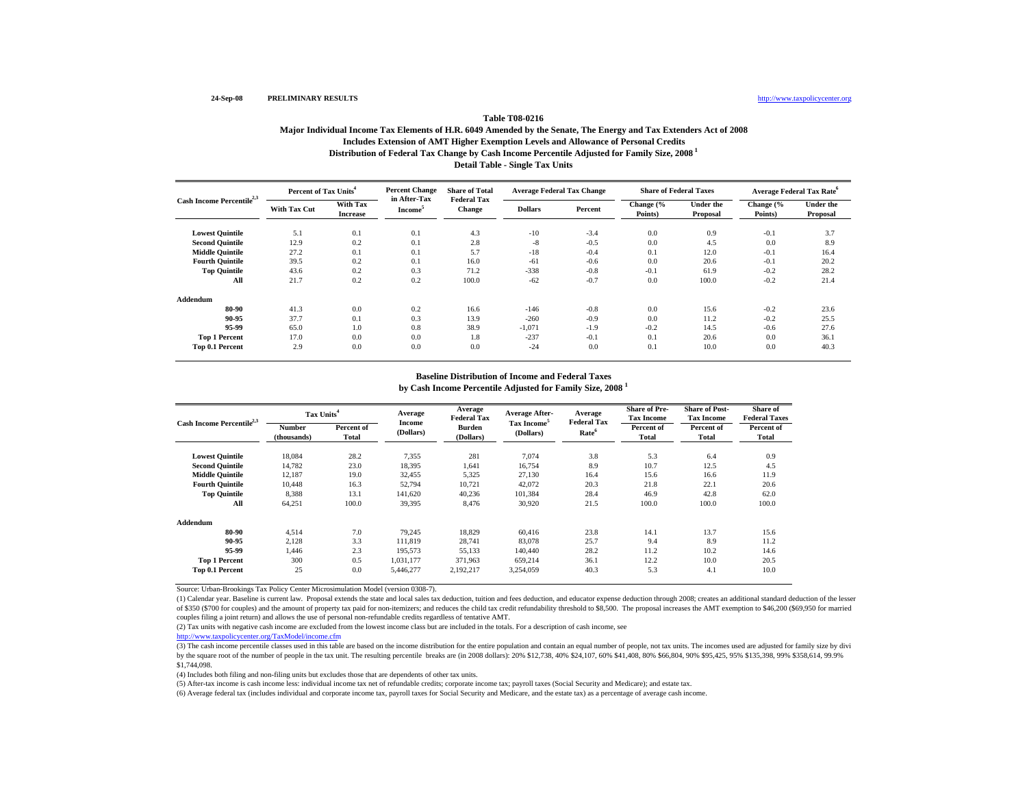## **Distribution of Federal Tax Change by Cash Income Percentile Adjusted for Family Size, 2008 1 Table T08-0216Major Individual Income Tax Elements of H.R. 6049 Amended by the Senate, The Energy and Tax Extenders Act of 2008 Includes Extension of AMT Higher Exemption Levels and Allowance of Personal Credits**

## **Detail Table - Single Tax Units**

| Cash Income Percentile <sup>2,3</sup> | Percent of Tax Units <sup>4</sup> |                             | <b>Percent Change</b>               | <b>Share of Total</b><br><b>Federal Tax</b> |                | <b>Average Federal Tax Change</b> | <b>Share of Federal Taxes</b> |                              | <b>Average Federal Tax Rate<sup>o</sup></b> |                              |  |
|---------------------------------------|-----------------------------------|-----------------------------|-------------------------------------|---------------------------------------------|----------------|-----------------------------------|-------------------------------|------------------------------|---------------------------------------------|------------------------------|--|
|                                       | <b>With Tax Cut</b>               | With Tax<br><b>Increase</b> | in After-Tax<br>Income <sup>3</sup> | Change                                      | <b>Dollars</b> | Percent                           | Change (%<br>Points)          | <b>Under the</b><br>Proposal | Change (%<br>Points)                        | <b>Under the</b><br>Proposal |  |
| <b>Lowest Quintile</b>                | 5.1                               | 0.1                         | 0.1                                 | 4.3                                         | $-10$          | $-3.4$                            | 0.0                           | 0.9                          | $-0.1$                                      | 3.7                          |  |
| <b>Second Quintile</b>                | 12.9                              | 0.2                         | 0.1                                 | 2.8                                         | $-8$           | $-0.5$                            | 0.0                           | 4.5                          | 0.0                                         | 8.9                          |  |
| <b>Middle Quintile</b>                | 27.2                              | 0.1                         | 0.1                                 | 5.7                                         | $-18$          | $-0.4$                            | 0.1                           | 12.0                         | $-0.1$                                      | 16.4                         |  |
| <b>Fourth Quintile</b>                | 39.5                              | 0.2                         | 0.1                                 | 16.0                                        | $-61$          | $-0.6$                            | 0.0                           | 20.6                         | $-0.1$                                      | 20.2                         |  |
| <b>Top Quintile</b>                   | 43.6                              | 0.2                         | 0.3                                 | 71.2                                        | $-338$         | $-0.8$                            | $-0.1$                        | 61.9                         | $-0.2$                                      | 28.2                         |  |
| All                                   | 21.7                              | 0.2                         | 0.2                                 | 100.0                                       | $-62$          | $-0.7$                            | 0.0                           | 100.0                        | $-0.2$                                      | 21.4                         |  |
| Addendum                              |                                   |                             |                                     |                                             |                |                                   |                               |                              |                                             |                              |  |
| 80-90                                 | 41.3                              | 0.0                         | 0.2                                 | 16.6                                        | $-146$         | $-0.8$                            | 0.0                           | 15.6                         | $-0.2$                                      | 23.6                         |  |
| 90-95                                 | 37.7                              | 0.1                         | 0.3                                 | 13.9                                        | $-260$         | $-0.9$                            | 0.0                           | 11.2                         | $-0.2$                                      | 25.5                         |  |
| 95-99                                 | 65.0                              | 1.0                         | 0.8                                 | 38.9                                        | $-1,071$       | $-1.9$                            | $-0.2$                        | 14.5                         | $-0.6$                                      | 27.6                         |  |
| <b>Top 1 Percent</b>                  | 17.0                              | 0.0                         | 0.0                                 | 1.8                                         | $-237$         | $-0.1$                            | 0.1                           | 20.6                         | 0.0                                         | 36.1                         |  |
| Top 0.1 Percent                       | 2.9                               | 0.0                         | 0.0                                 | 0.0                                         | $-24$          | 0.0                               | 0.1                           | 10.0                         | 0.0                                         | 40.3                         |  |

### **Baseline Distribution of Income and Federal Taxes**

**by Cash Income Percentile Adjusted for Family Size, 2008 <sup>1</sup>**

|                                       | Tax Units <sup>4</sup> |                     | Average             | Average<br><b>Federal Tax</b> | <b>Average After-</b>                | Average<br><b>Federal Tax</b> | <b>Share of Pre-</b><br><b>Tax Income</b> | <b>Share of Post-</b><br><b>Tax Income</b> | Share of<br><b>Federal Taxes</b> |
|---------------------------------------|------------------------|---------------------|---------------------|-------------------------------|--------------------------------------|-------------------------------|-------------------------------------------|--------------------------------------------|----------------------------------|
| Cash Income Percentile <sup>2,3</sup> | Number<br>(thousands)  | Percent of<br>Total | Income<br>(Dollars) | Burden<br>(Dollars)           | Tax Income <sup>5</sup><br>(Dollars) | Rate <sup>6</sup>             | Percent of<br>Total                       | Percent of<br>Total                        | Percent of<br>Total              |
| <b>Lowest Quintile</b>                | 18,084                 | 28.2                | 7,355               | 281                           | 7.074                                | 3.8                           | 5.3                                       | 6.4                                        | 0.9                              |
| <b>Second Quintile</b>                | 14.782                 | 23.0                | 18,395              | 1,641                         | 16,754                               | 8.9                           | 10.7                                      | 12.5                                       | 4.5                              |
| <b>Middle Quintile</b>                | 12,187                 | 19.0                | 32,455              | 5,325                         | 27,130                               | 16.4                          | 15.6                                      | 16.6                                       | 11.9                             |
| <b>Fourth Quintile</b>                | 10.448                 | 16.3                | 52,794              | 10,721                        | 42,072                               | 20.3                          | 21.8                                      | 22.1                                       | 20.6                             |
| <b>Top Quintile</b>                   | 8,388                  | 13.1                | 141.620             | 40,236                        | 101,384                              | 28.4                          | 46.9                                      | 42.8                                       | 62.0                             |
| All                                   | 64,251                 | 100.0               | 39,395              | 8.476                         | 30,920                               | 21.5                          | 100.0                                     | 100.0                                      | 100.0                            |
| Addendum                              |                        |                     |                     |                               |                                      |                               |                                           |                                            |                                  |
| 80-90                                 | 4.514                  | 7.0                 | 79.245              | 18.829                        | 60.416                               | 23.8                          | 14.1                                      | 13.7                                       | 15.6                             |
| 90-95                                 | 2,128                  | 3.3                 | 111.819             | 28.741                        | 83,078                               | 25.7                          | 9.4                                       | 8.9                                        | 11.2                             |
| 95-99                                 | 1.446                  | 2.3                 | 195.573             | 55.133                        | 140,440                              | 28.2                          | 11.2                                      | 10.2                                       | 14.6                             |
| <b>Top 1 Percent</b>                  | 300                    | 0.5                 | 1,031,177           | 371,963                       | 659.214                              | 36.1                          | 12.2                                      | 10.0                                       | 20.5                             |
| Top 0.1 Percent                       | 25                     | 0.0                 | 5,446,277           | 2,192,217                     | 3,254,059                            | 40.3                          | 5.3                                       | 4.1                                        | 10.0                             |

Source: Urban-Brookings Tax Policy Center Microsimulation Model (version 0308-7).

(1) Calendar year. Baseline is current law. Proposal extends the state and local sales tax deduction, tuition and fees deduction, and educator expense deduction through 2008; creates an additional standard deduction of the of \$350 (\$700 for couples) and the amount of property tax paid for non-itemizers; and reduces the child tax credit refundability threshold to \$8,500. The proposal increases the AMT exemption to \$46,200 (\$69,950 for married couples filing a joint return) and allows the use of personal non-refundable credits regardless of tentative AMT.

(2) Tax units with negative cash income are excluded from the lowest income class but are included in the totals. For a description of cash income, see

http://www.taxpolicycenter.org/TaxModel/income.cfm

(3) The cash income percentile classes used in this table are based on the income distribution for the entire population and contain an equal number of people, not tax units. The incomes used are adjusted for family size b by the square root of the number of people in the tax unit. The resulting percentile breaks are (in 2008 dollars): 20% \$12,738, 40% \$24,107, 60% \$41,408, 80% \$66,804, 90% \$95,425, 95% \$135,398, 99% \$358,614, 99.9% \$1,744,098.

(4) Includes both filing and non-filing units but excludes those that are dependents of other tax units.

(5) After-tax income is cash income less: individual income tax net of refundable credits; corporate income tax; payroll taxes (Social Security and Medicare); and estate tax.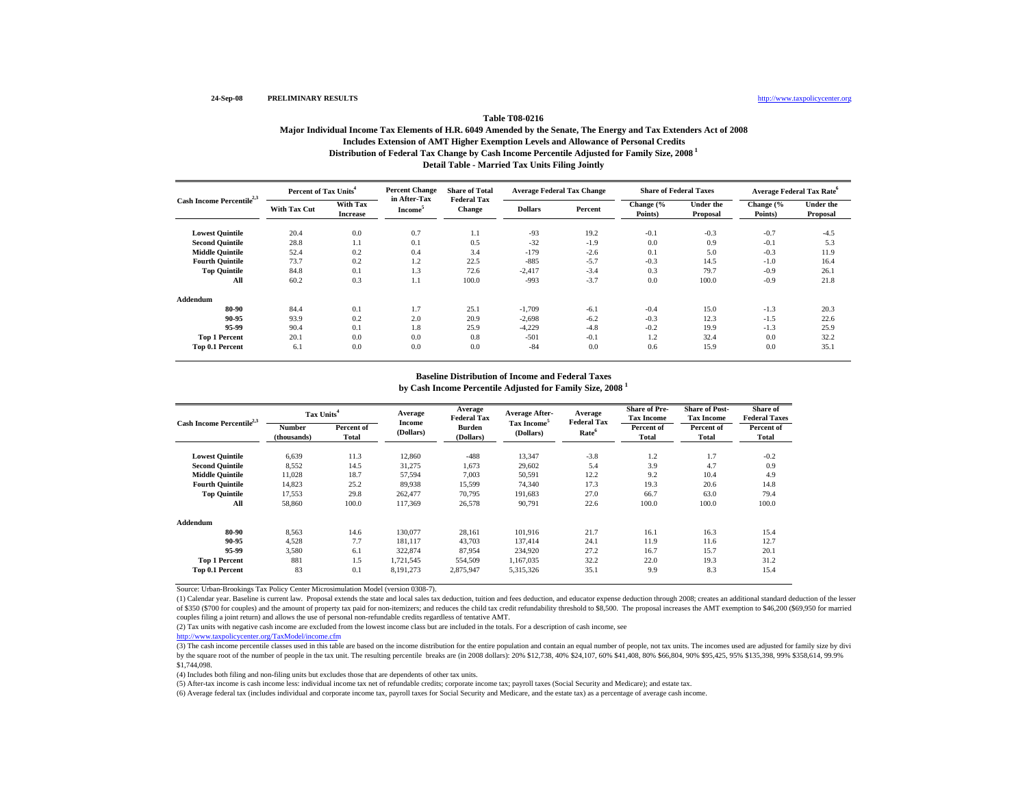## **Table T08-0216**

## **Distribution of Federal Tax Change by Cash Income Percentile Adjusted for Family Size, 2008 1 Detail Table - Married Tax Units Filing Jointly Major Individual Income Tax Elements of H.R. 6049 Amended by the Senate, The Energy and Tax Extenders Act of 2008 Includes Extension of AMT Higher Exemption Levels and Allowance of Personal Credits**

|                                       | Percent of Tax Units <sup>4</sup> |                             | <b>Percent Change</b>               | <b>Share of Total</b><br><b>Federal Tax</b> |                | <b>Average Federal Tax Change</b> | <b>Share of Federal Taxes</b> |                              | <b>Average Federal Tax Rate<sup>o</sup></b> |                              |  |
|---------------------------------------|-----------------------------------|-----------------------------|-------------------------------------|---------------------------------------------|----------------|-----------------------------------|-------------------------------|------------------------------|---------------------------------------------|------------------------------|--|
| Cash Income Percentile <sup>2,3</sup> | <b>With Tax Cut</b>               | With Tax<br><b>Increase</b> | in After-Tax<br>Income <sup>3</sup> | <b>Change</b>                               | <b>Dollars</b> | Percent                           | Change (%<br>Points)          | <b>Under the</b><br>Proposal | Change (%<br>Points)                        | <b>Under the</b><br>Proposal |  |
| <b>Lowest Quintile</b>                | 20.4                              | 0.0                         | 0.7                                 | 1.1                                         | $-93$          | 19.2                              | $-0.1$                        | $-0.3$                       | $-0.7$                                      | $-4.5$                       |  |
| <b>Second Quintile</b>                | 28.8                              | 1.1                         | 0.1                                 | 0.5                                         | $-32$          | $-1.9$                            | 0.0                           | 0.9                          | $-0.1$                                      | 5.3                          |  |
| <b>Middle Ouintile</b>                | 52.4                              | 0.2                         | 0.4                                 | 3.4                                         | $-179$         | $-2.6$                            | 0.1                           | 5.0                          | $-0.3$                                      | 11.9                         |  |
| <b>Fourth Quintile</b>                | 73.7                              | 0.2                         | 1.2                                 | 22.5                                        | $-885$         | $-5.7$                            | $-0.3$                        | 14.5                         | $-1.0$                                      | 16.4                         |  |
| <b>Top Quintile</b>                   | 84.8                              | 0.1                         | 1.3                                 | 72.6                                        | $-2,417$       | $-3.4$                            | 0.3                           | 79.7                         | $-0.9$                                      | 26.1                         |  |
| All                                   | 60.2                              | 0.3                         | 1.1                                 | 100.0                                       | $-993$         | $-3.7$                            | 0.0                           | 100.0                        | $-0.9$                                      | 21.8                         |  |
| Addendum                              |                                   |                             |                                     |                                             |                |                                   |                               |                              |                                             |                              |  |
| 80-90                                 | 84.4                              | 0.1                         | 1.7                                 | 25.1                                        | $-1,709$       | $-6.1$                            | $-0.4$                        | 15.0                         | $-1.3$                                      | 20.3                         |  |
| 90-95                                 | 93.9                              | 0.2                         | 2.0                                 | 20.9                                        | $-2,698$       | $-6.2$                            | $-0.3$                        | 12.3                         | $-1.5$                                      | 22.6                         |  |
| 95-99                                 | 90.4                              | 0.1                         | 1.8                                 | 25.9                                        | $-4,229$       | $-4.8$                            | $-0.2$                        | 19.9                         | $-1.3$                                      | 25.9                         |  |
| <b>Top 1 Percent</b>                  | 20.1                              | 0.0                         | 0.0                                 | 0.8                                         | $-501$         | $-0.1$                            | 1.2                           | 32.4                         | 0.0                                         | 32.2                         |  |
| Top 0.1 Percent                       | 6.1                               | 0.0                         | 0.0                                 | 0.0                                         | $-84$          | 0.0                               | 0.6                           | 15.9                         | 0.0                                         | 35.1                         |  |

## **Baseline Distribution of Income and Federal Taxes**

**by Cash Income Percentile Adjusted for Family Size, 2008 <sup>1</sup>**

|                                       | Tax Units <sup>4</sup> |                     | Average             | Average<br><b>Federal Tax</b> | <b>Average After-</b>                | Average                                 | <b>Share of Pre-</b><br><b>Tax Income</b> | <b>Share of Post-</b><br><b>Tax Income</b> | Share of<br><b>Federal Taxes</b> |
|---------------------------------------|------------------------|---------------------|---------------------|-------------------------------|--------------------------------------|-----------------------------------------|-------------------------------------------|--------------------------------------------|----------------------------------|
| Cash Income Percentile <sup>2,3</sup> | Number<br>(thousands)  | Percent of<br>Total | Income<br>(Dollars) | Burden<br>(Dollars)           | Tax Income <sup>5</sup><br>(Dollars) | <b>Federal Tax</b><br>Rate <sup>6</sup> | Percent of<br>Total                       | Percent of<br>Total                        | Percent of<br>Total              |
| <b>Lowest Quintile</b>                | 6,639                  | 11.3                | 12,860              | $-488$                        | 13,347                               | $-3.8$                                  | 1.2                                       | 1.7                                        | $-0.2$                           |
| <b>Second Quintile</b>                | 8,552                  | 14.5                | 31,275              | 1,673                         | 29,602                               | 5.4                                     | 3.9                                       | 4.7                                        | 0.9                              |
| <b>Middle Quintile</b>                | 11,028                 | 18.7                | 57,594              | 7.003                         | 50,591                               | 12.2                                    | 9.2                                       | 10.4                                       | 4.9                              |
| <b>Fourth Quintile</b>                | 14,823                 | 25.2                | 89.938              | 15,599                        | 74,340                               | 17.3                                    | 19.3                                      | 20.6                                       | 14.8                             |
| <b>Top Quintile</b>                   | 17,553                 | 29.8                | 262,477             | 70.795                        | 191.683                              | 27.0                                    | 66.7                                      | 63.0                                       | 79.4                             |
| All                                   | 58,860                 | 100.0               | 117,369             | 26,578                        | 90,791                               | 22.6                                    | 100.0                                     | 100.0                                      | 100.0                            |
| Addendum                              |                        |                     |                     |                               |                                      |                                         |                                           |                                            |                                  |
| 80-90                                 | 8.563                  | 14.6                | 130,077             | 28,161                        | 101.916                              | 21.7                                    | 16.1                                      | 16.3                                       | 15.4                             |
| 90-95                                 | 4.528                  | 7.7                 | 181.117             | 43,703                        | 137.414                              | 24.1                                    | 11.9                                      | 11.6                                       | 12.7                             |
| 95-99                                 | 3.580                  | 6.1                 | 322,874             | 87.954                        | 234.920                              | 27.2                                    | 16.7                                      | 15.7                                       | 20.1                             |
| <b>Top 1 Percent</b>                  | 881                    | 1.5                 | 1,721,545           | 554,509                       | 1,167,035                            | 32.2                                    | 22.0                                      | 19.3                                       | 31.2                             |
| Top 0.1 Percent                       | 83                     | 0.1                 | 8,191,273           | 2,875,947                     | 5,315,326                            | 35.1                                    | 9.9                                       | 8.3                                        | 15.4                             |

Source: Urban-Brookings Tax Policy Center Microsimulation Model (version 0308-7).

(1) Calendar year. Baseline is current law. Proposal extends the state and local sales tax deduction, tuition and fees deduction, and educator expense deduction through 2008; creates an additional standard deduction of the of \$350 (\$700 for couples) and the amount of property tax paid for non-itemizers; and reduces the child tax credit refundability threshold to \$8,500. The proposal increases the AMT exemption to \$46,200 (\$69,950 for married couples filing a joint return) and allows the use of personal non-refundable credits regardless of tentative AMT.

(2) Tax units with negative cash income are excluded from the lowest income class but are included in the totals. For a description of cash income, see

http://www.taxpolicycenter.org/TaxModel/income.cfm

(3) The cash income percentile classes used in this table are based on the income distribution for the entire population and contain an equal number of people, not tax units. The incomes used are adjusted for family size b by the square root of the number of people in the tax unit. The resulting percentile breaks are (in 2008 dollars): 20% \$12,738, 40% \$24,107, 60% \$41,408, 80% \$66,804, 90% \$95,425, 95% \$135,398, 99% \$358,614, 99.9% \$1,744,098.

(4) Includes both filing and non-filing units but excludes those that are dependents of other tax units.

(5) After-tax income is cash income less: individual income tax net of refundable credits; corporate income tax; payroll taxes (Social Security and Medicare); and estate tax.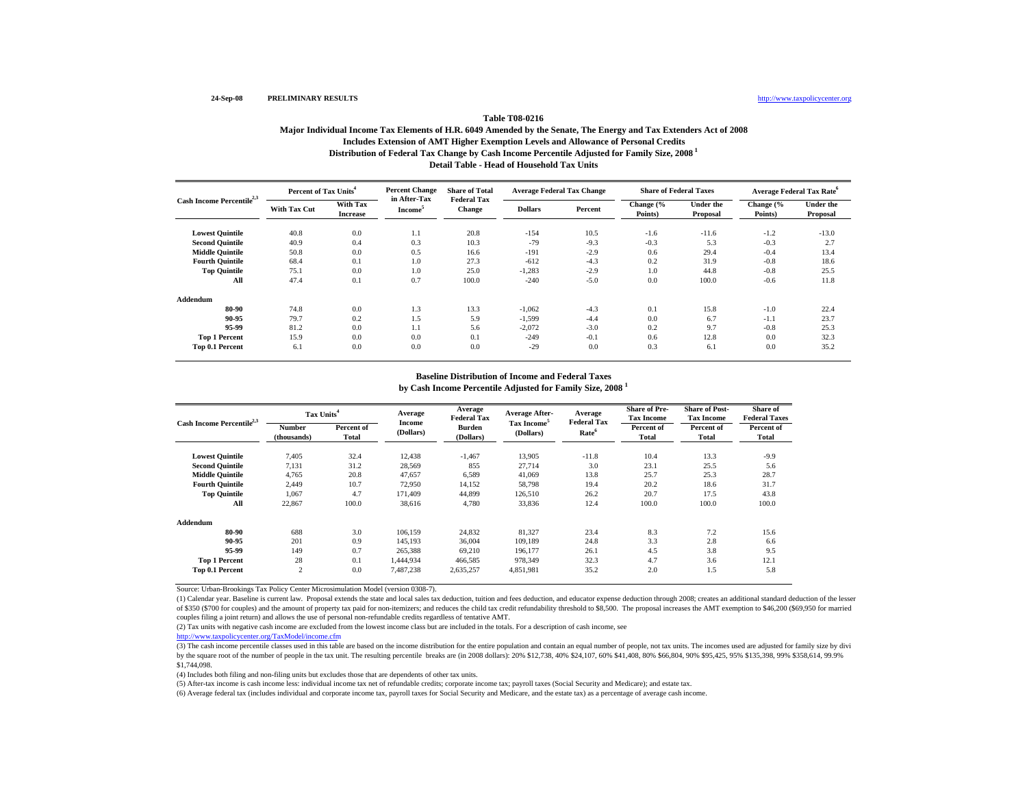## **Table T08-0216**

## **Distribution of Federal Tax Change by Cash Income Percentile Adjusted for Family Size, 2008 1 Detail Table - Head of Household Tax UnitsMajor Individual Income Tax Elements of H.R. 6049 Amended by the Senate, The Energy and Tax Extenders Act of 2008 Includes Extension of AMT Higher Exemption Levels and Allowance of Personal Credits**

| Cash Income Percentile <sup>2,3</sup> | Percent of Tax Units <sup>4</sup> |                             | <b>Percent Change</b>               | <b>Share of Total</b><br><b>Federal Tax</b> |                | <b>Average Federal Tax Change</b> | <b>Share of Federal Taxes</b> |                              | <b>Average Federal Tax Rate<sup>o</sup></b> |                              |  |
|---------------------------------------|-----------------------------------|-----------------------------|-------------------------------------|---------------------------------------------|----------------|-----------------------------------|-------------------------------|------------------------------|---------------------------------------------|------------------------------|--|
|                                       | <b>With Tax Cut</b>               | With Tax<br><b>Increase</b> | in After-Tax<br>Income <sup>3</sup> | <b>Change</b>                               | <b>Dollars</b> | Percent                           | Change (%<br>Points)          | <b>Under the</b><br>Proposal | Change (%<br>Points)                        | <b>Under the</b><br>Proposal |  |
| <b>Lowest Quintile</b>                | 40.8                              | 0.0                         | 1.1                                 | 20.8                                        | $-154$         | 10.5                              | $-1.6$                        | $-11.6$                      | $-1.2$                                      | $-13.0$                      |  |
| <b>Second Quintile</b>                | 40.9                              | 0.4                         | 0.3                                 | 10.3                                        | $-79$          | $-9.3$                            | $-0.3$                        | 5.3                          | $-0.3$                                      | 2.7                          |  |
| <b>Middle Ouintile</b>                | 50.8                              | 0.0                         | 0.5                                 | 16.6                                        | $-191$         | $-2.9$                            | 0.6                           | 29.4                         | $-0.4$                                      | 13.4                         |  |
| <b>Fourth Quintile</b>                | 68.4                              | 0.1                         | 1.0                                 | 27.3                                        | $-612$         | $-4.3$                            | 0.2                           | 31.9                         | $-0.8$                                      | 18.6                         |  |
| <b>Top Quintile</b>                   | 75.1                              | 0.0                         | 1.0                                 | 25.0                                        | $-1,283$       | $-2.9$                            | 1.0                           | 44.8                         | $-0.8$                                      | 25.5                         |  |
| All                                   | 47.4                              | 0.1                         | 0.7                                 | 100.0                                       | $-240$         | $-5.0$                            | 0.0                           | 100.0                        | $-0.6$                                      | 11.8                         |  |
| Addendum                              |                                   |                             |                                     |                                             |                |                                   |                               |                              |                                             |                              |  |
| 80-90                                 | 74.8                              | 0.0                         | 1.3                                 | 13.3                                        | $-1,062$       | $-4.3$                            | 0.1                           | 15.8                         | $-1.0$                                      | 22.4                         |  |
| 90-95                                 | 79.7                              | 0.2                         | 1.5                                 | 5.9                                         | $-1,599$       | $-4.4$                            | 0.0                           | 6.7                          | $-1.1$                                      | 23.7                         |  |
| 95-99                                 | 81.2                              | 0.0                         | 1.1                                 | 5.6                                         | $-2,072$       | $-3.0$                            | 0.2                           | 9.7                          | $-0.8$                                      | 25.3                         |  |
| <b>Top 1 Percent</b>                  | 15.9                              | 0.0                         | 0.0                                 | 0.1                                         | $-249$         | $-0.1$                            | 0.6                           | 12.8                         | 0.0                                         | 32.3                         |  |
| Top 0.1 Percent                       | 6.1                               | 0.0                         | 0.0                                 | 0.0                                         | $-29$          | 0.0                               | 0.3                           | 6.1                          | 0.0                                         | 35.2                         |  |

## **Baseline Distribution of Income and Federal Taxes**

**by Cash Income Percentile Adjusted for Family Size, 2008 <sup>1</sup>**

|                                       | Tax Units <sup>4</sup> |                     | Average             | Average<br><b>Federal Tax</b> | <b>Average After-</b>                | Average                                 | <b>Share of Pre-</b><br><b>Tax Income</b> | <b>Share of Post-</b><br><b>Tax Income</b> | Share of<br><b>Federal Taxes</b> |
|---------------------------------------|------------------------|---------------------|---------------------|-------------------------------|--------------------------------------|-----------------------------------------|-------------------------------------------|--------------------------------------------|----------------------------------|
| Cash Income Percentile <sup>2,3</sup> | Number<br>(thousands)  | Percent of<br>Total | Income<br>(Dollars) | Burden<br>(Dollars)           | Tax Income <sup>5</sup><br>(Dollars) | <b>Federal Tax</b><br>Rate <sup>6</sup> | Percent of<br>Total                       | Percent of<br>Total                        | Percent of<br>Total              |
| <b>Lowest Quintile</b>                | 7,405                  | 32.4                | 12,438              | $-1,467$                      | 13,905                               | $-11.8$                                 | 10.4                                      | 13.3                                       | $-9.9$                           |
| <b>Second Quintile</b>                | 7,131                  | 31.2                | 28,569              | 855                           | 27,714                               | 3.0                                     | 23.1                                      | 25.5                                       | 5.6                              |
| <b>Middle Quintile</b>                | 4.765                  | 20.8                | 47.657              | 6,589                         | 41,069                               | 13.8                                    | 25.7                                      | 25.3                                       | 28.7                             |
| <b>Fourth Quintile</b>                | 2.449                  | 10.7                | 72,950              | 14,152                        | 58,798                               | 19.4                                    | 20.2                                      | 18.6                                       | 31.7                             |
| <b>Top Quintile</b>                   | 1.067                  | 4.7                 | 171.409             | 44.899                        | 126,510                              | 26.2                                    | 20.7                                      | 17.5                                       | 43.8                             |
| All                                   | 22,867                 | 100.0               | 38,616              | 4,780                         | 33,836                               | 12.4                                    | 100.0                                     | 100.0                                      | 100.0                            |
| Addendum                              |                        |                     |                     |                               |                                      |                                         |                                           |                                            |                                  |
| 80-90                                 | 688                    | 3.0                 | 106.159             | 24,832                        | 81,327                               | 23.4                                    | 8.3                                       | 7.2                                        | 15.6                             |
| 90-95                                 | 201                    | 0.9                 | 145.193             | 36,004                        | 109.189                              | 24.8                                    | 3.3                                       | 2.8                                        | 6.6                              |
| 95-99                                 | 149                    | 0.7                 | 265.388             | 69.210                        | 196.177                              | 26.1                                    | 4.5                                       | 3.8                                        | 9.5                              |
| <b>Top 1 Percent</b>                  | 28                     | 0.1                 | 1,444,934           | 466,585                       | 978,349                              | 32.3                                    | 4.7                                       | 3.6                                        | 12.1                             |
| Top 0.1 Percent                       | $\overline{2}$         | 0.0                 | 7,487,238           | 2,635,257                     | 4,851,981                            | 35.2                                    | 2.0                                       | 1.5                                        | 5.8                              |

Source: Urban-Brookings Tax Policy Center Microsimulation Model (version 0308-7).

(1) Calendar year. Baseline is current law. Proposal extends the state and local sales tax deduction, tuition and fees deduction, and educator expense deduction through 2008; creates an additional standard deduction of the of \$350 (\$700 for couples) and the amount of property tax paid for non-itemizers; and reduces the child tax credit refundability threshold to \$8,500. The proposal increases the AMT exemption to \$46,200 (\$69,950 for married couples filing a joint return) and allows the use of personal non-refundable credits regardless of tentative AMT.

(2) Tax units with negative cash income are excluded from the lowest income class but are included in the totals. For a description of cash income, see

http://www.taxpolicycenter.org/TaxModel/income.cfm

(3) The cash income percentile classes used in this table are based on the income distribution for the entire population and contain an equal number of people, not tax units. The incomes used are adjusted for family size b by the square root of the number of people in the tax unit. The resulting percentile breaks are (in 2008 dollars): 20% \$12,738, 40% \$24,107, 60% \$41,408, 80% \$66,804, 90% \$95,425, 95% \$135,398, 99% \$358,614, 99.9% \$1,744,098.

(4) Includes both filing and non-filing units but excludes those that are dependents of other tax units.

(5) After-tax income is cash income less: individual income tax net of refundable credits; corporate income tax; payroll taxes (Social Security and Medicare); and estate tax.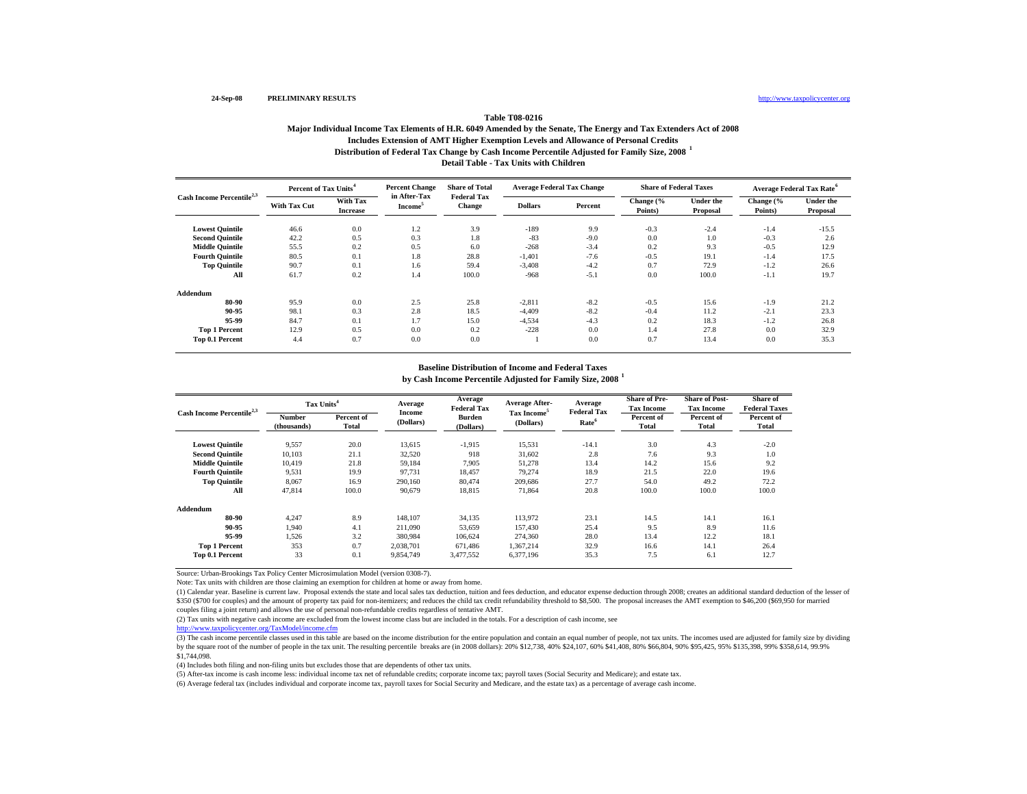## **Distribution of Federal Tax Change by Cash Income Percentile Adjusted for Family Size, 2008 <sup>1</sup> Detail Table - Tax Units with Children Table T08-0216Major Individual Income Tax Elements of H.R. 6049 Amended by the Senate, The Energy and Tax Extenders Act of 2008 Includes Extension of AMT Higher Exemption Levels and Allowance of Personal Credits**

| Cash Income Percentile <sup>2,3</sup> | Percent of Tax Units <sup>4</sup> |                             | <b>Percent Change</b>               | <b>Share of Total</b>               | <b>Average Federal Tax Change</b> |         | <b>Share of Federal Taxes</b> |                              | Average Federal Tax Rate <sup>6</sup> |                              |
|---------------------------------------|-----------------------------------|-----------------------------|-------------------------------------|-------------------------------------|-----------------------------------|---------|-------------------------------|------------------------------|---------------------------------------|------------------------------|
|                                       | <b>With Tax Cut</b>               | With Tax<br><b>Increase</b> | in After-Tax<br>Income <sup>3</sup> | <b>Federal Tax</b><br><b>Change</b> | <b>Dollars</b>                    | Percent | Change (%<br>Points)          | <b>Under the</b><br>Proposal | Change (%<br>Points)                  | <b>Under the</b><br>Proposal |
| <b>Lowest Quintile</b>                | 46.6                              | 0.0                         | 1.2                                 | 3.9                                 | $-189$                            | 9.9     | $-0.3$                        | $-2.4$                       | $-1.4$                                | $-15.5$                      |
| <b>Second Quintile</b>                | 42.2                              | 0.5                         | 0.3                                 | 1.8                                 | $-83$                             | $-9.0$  | 0.0                           | 1.0                          | $-0.3$                                | 2.6                          |
| <b>Middle Quintile</b>                | 55.5                              | 0.2                         | 0.5                                 | 6.0                                 | $-268$                            | $-3.4$  | 0.2                           | 9.3                          | $-0.5$                                | 12.9                         |
| <b>Fourth Quintile</b>                | 80.5                              | 0.1                         | 1.8                                 | 28.8                                | $-1,401$                          | $-7.6$  | $-0.5$                        | 19.1                         | $-1.4$                                | 17.5                         |
| <b>Top Quintile</b>                   | 90.7                              | 0.1                         | 1.6                                 | 59.4                                | $-3.408$                          | $-4.2$  | 0.7                           | 72.9                         | $-1.2$                                | 26.6                         |
| All                                   | 61.7                              | 0.2                         | 1.4                                 | 100.0                               | $-968$                            | $-5.1$  | 0.0                           | 100.0                        | $-1.1$                                | 19.7                         |
| Addendum                              |                                   |                             |                                     |                                     |                                   |         |                               |                              |                                       |                              |
| 80-90                                 | 95.9                              | 0.0                         | 2.5                                 | 25.8                                | $-2,811$                          | $-8.2$  | $-0.5$                        | 15.6                         | $-1.9$                                | 21.2                         |
| 90-95                                 | 98.1                              | 0.3                         | 2.8                                 | 18.5                                | $-4,409$                          | $-8.2$  | $-0.4$                        | 11.2                         | $-2.1$                                | 23.3                         |
| 95-99                                 | 84.7                              | 0.1                         | 1.7                                 | 15.0                                | $-4,534$                          | $-4.3$  | 0.2                           | 18.3                         | $-1.2$                                | 26.8                         |
| <b>Top 1 Percent</b>                  | 12.9                              | 0.5                         | 0.0                                 | 0.2                                 | $-228$                            | 0.0     | 1.4                           | 27.8                         | 0.0                                   | 32.9                         |
| Top 0.1 Percent                       | 4.4                               | 0.7                         | 0.0                                 | 0.0                                 |                                   | 0.0     | 0.7                           | 13.4                         | 0.0                                   | 35.3                         |

### **Baseline Distribution of Income and Federal Taxes**

**by Cash Income Percentile Adjusted for Family Size, 2008 <sup>1</sup>**

| Cash Income Percentile <sup>2,3</sup> | Tax Units <sup>4</sup> |                     | Average             | Average<br><b>Federal Tax</b> | <b>Average After-</b>                | Average                                 | <b>Share of Pre-</b><br><b>Tax Income</b> | <b>Share of Post-</b><br><b>Tax Income</b> | Share of<br><b>Federal Taxes</b> |
|---------------------------------------|------------------------|---------------------|---------------------|-------------------------------|--------------------------------------|-----------------------------------------|-------------------------------------------|--------------------------------------------|----------------------------------|
|                                       | Number<br>(thousands)  | Percent of<br>Total | Income<br>(Dollars) | <b>Burden</b><br>(Dollars)    | Tax Income <sup>5</sup><br>(Dollars) | <b>Federal Tax</b><br>Rate <sup>6</sup> | Percent of<br>Total                       | Percent of<br><b>Total</b>                 | Percent of<br><b>Total</b>       |
| <b>Lowest Quintile</b>                | 9,557                  | 20.0                | 13,615              | $-1,915$                      | 15,531                               | $-14.1$                                 | 3.0                                       | 4.3                                        | $-2.0$                           |
| <b>Second Quintile</b>                | 10,103                 | 21.1                | 32,520              | 918                           | 31,602                               | 2.8                                     | 7.6                                       | 9.3                                        | 1.0                              |
| <b>Middle Quintile</b>                | 10.419                 | 21.8                | 59,184              | 7,905                         | 51,278                               | 13.4                                    | 14.2                                      | 15.6                                       | 9.2                              |
| <b>Fourth Ouintile</b>                | 9,531                  | 19.9                | 97.731              | 18,457                        | 79,274                               | 18.9                                    | 21.5                                      | 22.0                                       | 19.6                             |
| <b>Top Quintile</b>                   | 8,067                  | 16.9                | 290.160             | 80,474                        | 209,686                              | 27.7                                    | 54.0                                      | 49.2                                       | 72.2                             |
| All                                   | 47,814                 | 100.0               | 90,679              | 18,815                        | 71,864                               | 20.8                                    | 100.0                                     | 100.0                                      | 100.0                            |
| Addendum                              |                        |                     |                     |                               |                                      |                                         |                                           |                                            |                                  |
| 80-90                                 | 4,247                  | 8.9                 | 148,107             | 34,135                        | 113,972                              | 23.1                                    | 14.5                                      | 14.1                                       | 16.1                             |
| 90-95                                 | 1.940                  | 4.1                 | 211.090             | 53,659                        | 157,430                              | 25.4                                    | 9.5                                       | 8.9                                        | 11.6                             |
| 95-99                                 | 1,526                  | 3.2                 | 380,984             | 106,624                       | 274,360                              | 28.0                                    | 13.4                                      | 12.2                                       | 18.1                             |
| <b>Top 1 Percent</b>                  | 353                    | 0.7                 | 2,038,701           | 671.486                       | 1,367,214                            | 32.9                                    | 16.6                                      | 14.1                                       | 26.4                             |
| Top 0.1 Percent                       | 33                     | 0.1                 | 9,854,749           | 3,477,552                     | 6,377,196                            | 35.3                                    | 7.5                                       | 6.1                                        | 12.7                             |

Source: Urban-Brookings Tax Policy Center Microsimulation Model (version 0308-7).

Note: Tax units with children are those claiming an exemption for children at home or away from home.

(1) Calendar year. Baseline is current law. Proposal extends the state and local sales tax deduction, tuition and fees deduction, and educator expense deduction through 2008; creates an additional standard deduction of the \$350 (\$700 for couples) and the amount of property tax paid for non-itemizers; and reduces the child tax credit refundability threshold to \$8,500. The proposal increases the AMT exemption to \$46,200 (\$69,950 for married couples filing a joint return) and allows the use of personal non-refundable credits regardless of tentative AMT.

(2) Tax units with negative cash income are excluded from the lowest income class but are included in the totals. For a description of cash income, see

http://www.taxpolicycenter.org/TaxModel/income.cfm

(3) The cash income percentile classes used in this table are based on the income distribution for the entire population and contain an equal number of people, not tax units. The incomes used are adjusted for family size b by the square root of the number of people in the tax unit. The resulting percentile breaks are (in 2008 dollars): 20% \$12,738, 40% \$24,107, 60% \$41,408, 80% \$66,804, 90% \$95,425, 95% \$135,398, 99% \$358,614, 99.9% \$1,744,098.

(4) Includes both filing and non-filing units but excludes those that are dependents of other tax units.

(5) After-tax income is cash income less: individual income tax net of refundable credits; corporate income tax; payroll taxes (Social Security and Medicare); and estate tax.